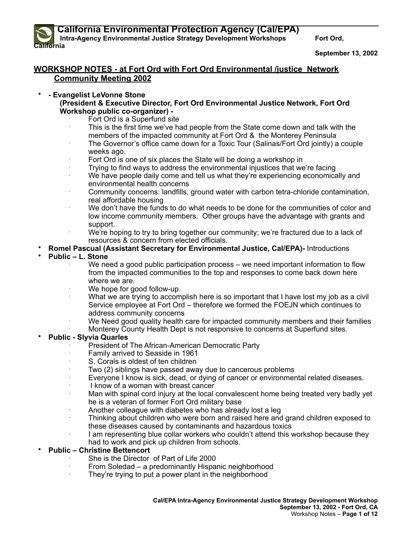**Intra-Agency Environmental Justice Strategy Development Workshops Fort Ord, California**

 **September 13, 2002**

# **WORKSHOP NOTES - at Fort Ord with Fort Ord Environmental /justice Network Community Meeting 2002**

# • **- Evangelist LeVonne Stone**

**(President & Executive Director, Fort Ord Environmental Justice Network, Fort Ord Workshop public co-organizer) -**

- Fort Ord is a Superfund site
- This is the first time we've had people from the State come down and talk with the members of the impacted community at Fort Ord & the Monterey Peninsula
- The Governor's office came down for a Toxic Tour (Salinas/Fort Ord jointly) a couple weeks ago.
- Fort Ord is one of six places the State will be doing a workshop in
- · Trying to find ways to address the environmental injustices that we're facing
- We have people daily come and tell us what they're experiencing economically and environmental health concerns
- · Community concerns: landfills, ground water with carbon tetra-chloride contamination, real affordable housing
- We don't have the funds to do what needs to be done for the communities of color and low income community members. Other groups have the advantage with grants and support.
	- We're hoping to try to bring together our community; we're fractured due to a lack of resources & concern from elected officials.

### • **Romel Pascual (Assistant Secretary for Environmental Justice, Cal/EPA)-** Introductions

### • **Public – L. Stone**

- We need a good public participation process we need important information to flow from the impacted communities to the top and responses to come back down here where we are.
- We hope for good follow-up.
- What we are trying to accomplish here is so important that I have lost my job as a civil Service employee at Fort Ord – therefore we formed the FOEJN which continues to address community concerns
- We Need good quality health care for impacted community members and their families
- Monterey County Health Dept is not responsive to concerns at Superfund sites.

# • **Public - Slyvia Quarles**

- President of The African-American Democratic Party
- · Family arrived to Seaside in 1961
- S. Corals is oldest of ten children
- Two (2) siblings have passed away due to cancerous problems
- Everyone I know is sick, dead, or dying of cancer or environmental related diseases.
- I know of a woman with breast cancer
- · Man with spinal cord injury at the local convalescent home being treated very badly yet he is a veteran of former Fort Ord military base
- Another colleague with diabetes who has already lost a leg
- Thinking about children who were born and raised here and grand children exposed to these diseases caused by contaminants and hazardous toxics
- · I am representing blue collar workers who couldn't attend this workshop because they had to work and pick up children from schools.

### • **Public – Christine Bettencort**

- She is the Director of Part of Life 2000
- From Soledad a predominantly Hispanic neighborhood
- They're trying to put a power plant in the neighborhood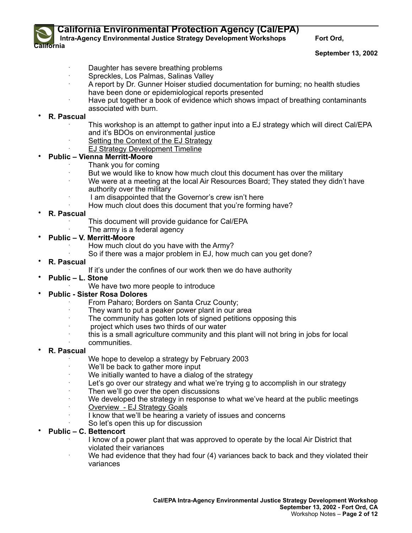**Intra-Agency Environmental Justice Strategy Development Workshops Fort Ord,** 

#### **September 13, 2002**

- Daughter has severe breathing problems
- · Spreckles, Los Palmas, Salinas Valley
- · A report by Dr. Gunner Hoiser studied documentation for burning; no health studies have been done or epidemiological reports presented
- · Have put together a book of evidence which shows impact of breathing contaminants associated with burn.

### • **R. Pascual**

- This workshop is an attempt to gather input into a EJ strategy which will direct Cal/EPA and it's BDOs on environmental justice
- Setting the Context of the EJ Strategy
- **EJ Strategy Development Timeline**

### • **Public – Vienna Merritt-Moore**

- Thank you for coming
- But we would like to know how much clout this document has over the military
- · We were at a meeting at the local Air Resources Board; They stated they didn't have authority over the military
- I am disappointed that the Governor's crew isn't here
- How much clout does this document that you're forming have?
- **R. Pascual**
	- This document will provide guidance for Cal/EPA
	- The army is a federal agency
- **Public V. Merritt-Moore**
	- How much clout do you have with the Army?
	- So if there was a major problem in EJ, how much can you get done?
- **R. Pascual**
	- If it's under the confines of our work then we do have authority
- **Public L. Stone**
	- We have two more people to introduce
- **Public Sister Rosa Dolores** 
	- From Paharo; Borders on Santa Cruz County;
	- They want to put a peaker power plant in our area
	- The community has gotten lots of signed petitions opposing this
	- · project which uses two thirds of our water
	- this is a small agriculture community and this plant will not bring in jobs for local
	- communities.
- **R. Pascual**
	- We hope to develop a strategy by February 2003
	- We'll be back to gather more input
	- We initially wanted to have a dialog of the strategy
	- Let's go over our strategy and what we're trying g to accomplish in our strategy
	- Then we'll go over the open discussions
	- We developed the strategy in response to what we've heard at the public meetings
	- Overview EJ Strategy Goals
	- I know that we'll be hearing a variety of issues and concerns
	- So let's open this up for discussion

#### • **Public – C. Bettencort**

- · I know of a power plant that was approved to operate by the local Air District that violated their variances
- We had evidence that they had four (4) variances back to back and they violated their variances

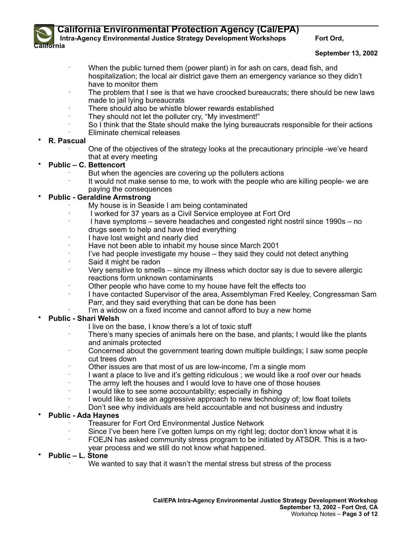

**Intra-Agency Environmental Justice Strategy Development Workshops Fort Ord,** 

#### **September 13, 2002**

- When the public turned them (power plant) in for ash on cars, dead fish, and hospitalization; the local air district gave them an emergency variance so they didn't have to monitor them
- The problem that I see is that we have croocked bureaucrats; there should be new laws made to jail lying bureaucrats
- There should also be whistle blower rewards established
- They should not let the polluter cry, "My investment!"
- · So I think that the State should make the lying bureaucrats responsible for their actions Eliminate chemical releases

### • **R. Pascual**

· One of the objectives of the strategy looks at the precautionary principle -we've heard that at every meeting

### • **Public – C. Bettencort**

- But when the agencies are covering up the polluters actions
- It would not make sense to me, to work with the people who are killing people- we are paying the consequences

### • **Public - Geraldine Armstrong**

- My house is in Seaside I am being contaminated
- I worked for 37 years as a Civil Service employee at Fort Ord
- · I have symptoms severe headaches and congested right nostril since 1990s no drugs seem to help and have tried everything
- I have lost weight and nearly died
- Have not been able to inhabit my house since March 2001
- I've had people investigate my house  $-$  they said they could not detect anything
- Said it might be radon
- · Very sensitive to smells since my illness which doctor say is due to severe allergic reactions form unknown contaminants
- Other people who have come to my house have felt the effects too
- · I have contacted Supervisor of the area, Assemblyman Fred Keeley, Congressman Sam Parr, and they said everything that can be done has been
- I'm a widow on a fixed income and cannot afford to buy a new home

### • **Public - Shari Welsh**

- I live on the base. I know there's a lot of toxic stuff
- There's many species of animals here on the base, and plants; I would like the plants and animals protected
- · Concerned about the government tearing down multiple buildings; I saw some people cut trees down
- Other issues are that most of us are low-income, I'm a single mom
- I want a place to live and it's getting ridiculous; we would like a roof over our heads
- The army left the houses and I would love to have one of those houses
- I would like to see some accountability; especially in fishing
- · I would like to see an aggressive approach to new technology of; low float toilets
- Don't see why individuals are held accountable and not business and industry

### • **Public - Ada Haynes**

- Treasurer for Fort Ord Environmental Justice Network
- Since I've been here I've gotten lumps on my right leg; doctor don't know what it is
- · FOEJN has asked community stress program to be initiated by ATSDR. This is a twoyear process and we still do not know what happened.
- **Public L. Stone**
	- We wanted to say that it wasn't the mental stress but stress of the process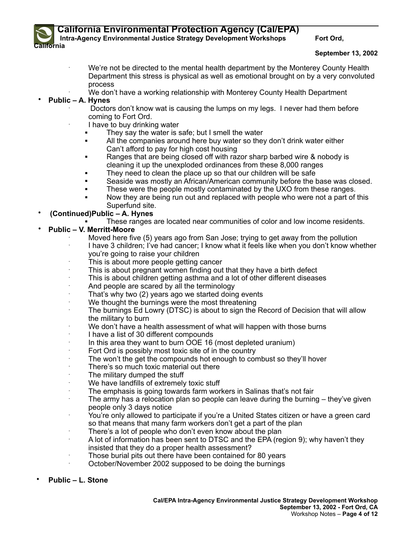

**Intra-Agency Environmental Justice Strategy Development Workshops Fort Ord,** 

#### **September 13, 2002**

- We're not be directed to the mental health department by the Monterey County Health Department this stress is physical as well as emotional brought on by a very convoluted process
- We don't have a working relationship with Monterey County Health Department
- **Public A. Hynes** 
	- Doctors don't know wat is causing the lumps on my legs. I never had them before coming to Fort Ord.
		- I have to buy drinking water
			- They say the water is safe; but I smell the water
		- All the companies around here buy water so they don't drink water either Can't afford to pay for high cost housing
		- ! Ranges that are being closed off with razor sharp barbed wire & nobody is cleaning it up the unexploded ordinances from these 8,000 ranges
		- They need to clean the place up so that our children will be safe
		- Seaside was mostly an African/American community before the base was closed.
		- These were the people mostly contaminated by the UXO from these ranges.
		- Now they are being run out and replaced with people who were not a part of this Superfund site.

# • **(Continued)Public – A. Hynes**

! These ranges are located near communities of color and low income residents.

### • **Public – V. Merritt-Moore**

- · Moved here five (5) years ago from San Jose; trying to get away from the pollution
- · I have 3 children; I've had cancer; I know what it feels like when you don't know whether you're going to raise your children
- This is about more people getting cancer
- This is about pregnant women finding out that they have a birth defect
- This is about children getting asthma and a lot of other different diseases
- And people are scared by all the terminology
- That's why two (2) years ago we started doing events
- We thought the burnings were the most threatening
- The burnings Ed Lowry (DTSC) is about to sign the Record of Decision that will allow the military to burn
- We don't have a health assessment of what will happen with those burns
- · I have a list of 30 different compounds
- In this area they want to burn OOE 16 (most depleted uranium)
- Fort Ord is possibly most toxic site of in the country
- The won't the get the compounds hot enough to combust so they'll hover
- There's so much toxic material out there
- The military dumped the stuff
- We have landfills of extremely toxic stuff
- The emphasis is going towards farm workers in Salinas that's not fair
- The army has a relocation plan so people can leave during the burning  $-$  they've given people only 3 days notice
- · You're only allowed to participate if you're a United States citizen or have a green card so that means that many farm workers don't get a part of the plan
- There's a lot of people who don't even know about the plan
- · A lot of information has been sent to DTSC and the EPA (region 9); why haven't they insisted that they do a proper health assessment?
- Those burial pits out there have been contained for 80 years
- October/November 2002 supposed to be doing the burnings

### • **Public – L. Stone**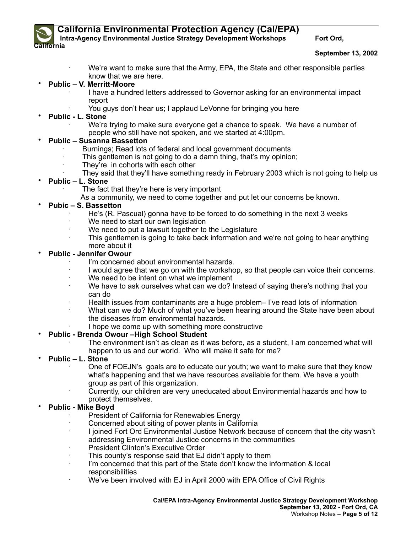

**Intra-Agency Environmental Justice Strategy Development Workshops Fort Ord,** 

#### **September 13, 2002**

- · We're want to make sure that the Army, EPA, the State and other responsible parties know that we are here.
- **Public V. Merritt-Moore**
	- · I have a hundred letters addressed to Governor asking for an environmental impact report
	- You guys don't hear us; I applaud LeVonne for bringing you here
- **Public L. Stone**
	- We're trying to make sure everyone get a chance to speak. We have a number of people who still have not spoken, and we started at 4:00pm.

### • **Public – Susanna Bassetton**

- Burnings: Read lots of federal and local government documents
- This gentlemen is not going to do a damn thing, that's my opinion;
- They're in cohorts with each other
- · They said that they'll have something ready in February 2003 which is not going to help us
- **Public L. Stone**
	- The fact that they're here is very important
	- As a community, we need to come together and put let our concerns be known.
- **Pubic S. Bassetton**
	- · He's (R. Pascual) gonna have to be forced to do something in the next 3 weeks
	- We need to start our own legislation
	- We need to put a lawsuit together to the Legislature
	- This gentlemen is going to take back information and we're not going to hear anything more about it

### • **Public - Jennifer Owour**

- I'm concerned about environmental hazards.
- · I would agree that we go on with the workshop, so that people can voice their concerns.
- We need to be intent on what we implement
- · We have to ask ourselves what can we do? Instead of saying there's nothing that you can do
- Health issues from contaminants are a huge problem– I've read lots of information
- · What can we do? Much of what you've been hearing around the State have been about the diseases from environmental hazards.
- I hope we come up with something more constructive

# • **Public - Brenda Owour –High School Student**

- The environment isn't as clean as it was before, as a student, I am concerned what will happen to us and our world. Who will make it safe for me?
- **Public L. Stone**
	- · One of FOEJN's goals are to educate our youth; we want to make sure that they know what's happening and that we have resources available for them. We have a youth group as part of this organization.
	- · Currently, our children are very uneducated about Environmental hazards and how to protect themselves.

# • **Public - Mike Boyd**

- President of California for Renewables Energy
- Concerned about siting of power plants in California
- · I joined Fort Ord Environmental Justice Network because of concern that the city wasn't addressing Environmental Justice concerns in the communities
- President Clinton's Executive Order
- This county's response said that EJ didn't apply to them
- I'm concerned that this part of the State don't know the information & local responsibilities
- We've been involved with EJ in April 2000 with EPA Office of Civil Rights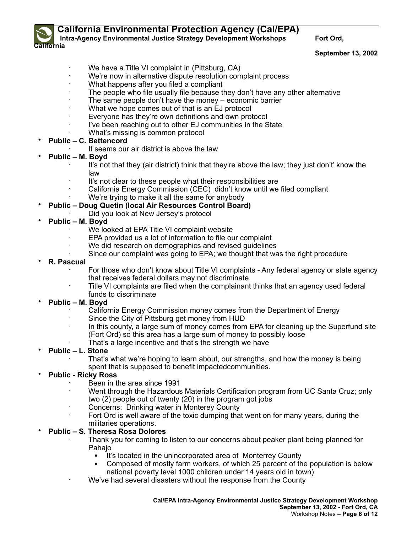**Intra-Agency Environmental Justice Strategy Development Workshops Fort Ord, California**

#### **September 13, 2002**

- We have a Title VI complaint in (Pittsburg, CA)
- We're now in alternative dispute resolution complaint process
- What happens after you filed a compliant
- The people who file usually file because they don't have any other alternative
- The same people don't have the money economic barrier
- What we hope comes out of that is an EJ protocol
- Everyone has they're own definitions and own protocol
- I've been reaching out to other EJ communities in the State
- What's missing is common protocol

# • **Public – C. Bettencord**

It seems our air district is above the law

# • **Public – M. Boyd**

- · It's not that they (air district) think that they're above the law; they just don't' know the law
- It's not clear to these people what their responsibilities are
- California Energy Commission (CEC) didn't know until we filed compliant
- We're trying to make it all the same for anybody
- **Public Doug Quetin (local Air Resources Control Board)**
	- Did you look at New Jersey's protocol
- **Public M. Boyd**
	- We looked at EPA Title VI complaint website
	- EPA provided us a lot of information to file our complaint
	- We did research on demographics and revised guidelines
	- · Since our complaint was going to EPA; we thought that was the right procedure

### • **R. Pascual**

- For those who don't know about Title VI complaints Any federal agency or state agency that receives federal dollars may not discriminate
- Title VI complaints are filed when the complainant thinks that an agency used federal funds to discriminate

# • **Public – M. Boyd**

- California Energy Commission money comes from the Department of Energy
- Since the City of Pittsburg get money from HUD
- In this county, a large sum of money comes from EPA for cleaning up the Superfund site (Fort Ord) so this area has a large sum of money to possibly loose
- That's a large incentive and that's the strength we have

# • **Public – L. Stone**

That's what we're hoping to learn about, our strengths, and how the money is being spent that is supposed to benefit impactedcommunities.

# • **Public - Ricky Ross**

- Been in the area since 1991
- · Went through the Hazardous Materials Certification program from UC Santa Cruz; only two (2) people out of twenty (20) in the program got jobs
- Concerns: Drinking water in Monterey County
- Fort Ord is well aware of the toxic dumping that went on for many years, during the militaries operations.

# • **Public – S. Theresa Rosa Dolores**

- Thank you for coming to listen to our concerns about peaker plant being planned for Pahajo
	- It's located in the unincorporated area of Monterrey County
	- ! Composed of mostly farm workers, of which 25 percent of the population is below national poverty level 1000 children under 14 years old in town)
- We've had several disasters without the response from the County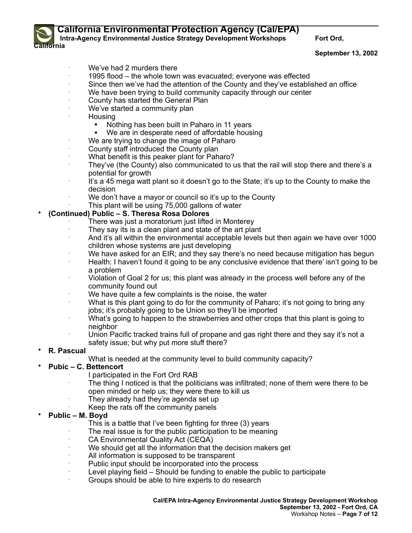

**Intra-Agency Environmental Justice Strategy Development Workshops Fort Ord,** 

#### **September 13, 2002**

- We've had 2 murders there
- · 1995 flood the whole town was evacuated; everyone was effected
- Since then we've had the attention of the County and they've established an office
- We have been trying to build community capacity through our center
- County has started the General Plan
- We've started a community plan
- · Housing
	- ! Nothing has been built in Paharo in 11 years
	- ! We are in desperate need of affordable housing
- We are trying to change the image of Paharo
- County staff introduced the County plan
- What benefit is this peaker plant for Paharo?
- · They've (the County) also communicated to us that the rail will stop there and there's a potential for growth
- It's a 45 mega watt plant so it doesn't go to the State; it's up to the County to make the decision
- We don't have a mayor or council so it's up to the County
- This plant will be using 75,000 gallons of water

# • **(Continued) Public – S. Theresa Rosa Dolores**

- There was just a moratorium just lifted in Monterey
- They say its is a clean plant and state of the art plant
- And it's all within the environmental acceptable levels but then again we have over 1000 children whose systems are just developing
- We have asked for an EIR; and they say there's no need because mitigation has begun
- Health: I haven't found it going to be any conclusive evidence that there' isn't going to be a problem
- · Violation of Goal 2 for us; this plant was already in the process well before any of the community found out
- We have quite a few complaints is the noise, the water
- What is this plant going to do for the community of Paharo; it's not going to bring any jobs; it's probably going to be Union so they'll be imported
- What's going to happen to the strawberries and other crops that this plant is going to neighbor
- Union Pacific tracked trains full of propane and gas right there and they say it's not a safety issue; but why put more stuff there?

### • **R. Pascual**

What is needed at the community level to build community capacity?

# • **Pubic – C. Bettencort**

- · I participated in the Fort Ord RAB
	- The thing I noticed is that the politicians was infiltrated; none of them were there to be open minded or help us; they were there to kill us
- They already had they're agenda set up
- Keep the rats off the community panels

### • **Public – M. Boyd**

- This is a battle that I've been fighting for three (3) years
- · The real issue is for the public participation to be meaning
- · CA Environmental Quality Act (CEQA)
- We should get all the information that the decision makers get
- All information is supposed to be transparent
- Public input should be incorporated into the process
- Level playing field Should be funding to enable the public to participate
- Groups should be able to hire experts to do research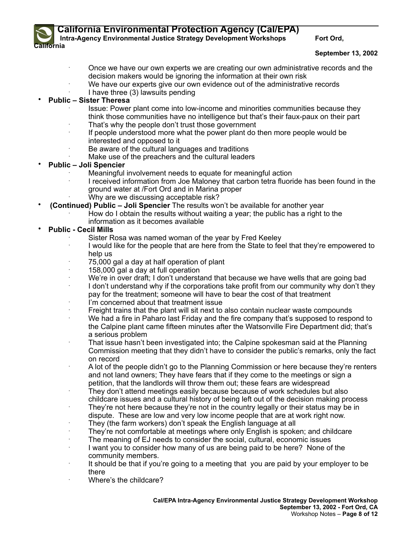

**Intra-Agency Environmental Justice Strategy Development Workshops Fort Ord,** 

#### **September 13, 2002**

- · Once we have our own experts we are creating our own administrative records and the decision makers would be ignoring the information at their own risk
	- We have our experts give our own evidence out of the administrative records
	- · I have three (3) lawsuits pending
- **Public Sister Theresa**
	- · Issue: Power plant come into low-income and minorities communities because they think those communities have no intelligence but that's their faux-paux on their part
	- That's why the people don't trust those government
	- · If people understood more what the power plant do then more people would be interested and opposed to it
	- Be aware of the cultural languages and traditions
	- Make use of the preachers and the cultural leaders
- **Public Joli Spencier**
	- Meaningful involvement needs to equate for meaningful action
	- · I received information from Joe Maloney that carbon tetra fluoride has been found in the ground water at /Fort Ord and in Marina proper
	- Why are we discussing acceptable risk?
- **(Continued) Public Joli Spencier** The results won't be available for another year
	- · How do I obtain the results without waiting a year; the public has a right to the information as it becomes available
- **Public Cecil Mills**
	- Sister Rosa was named woman of the year by Fred Keeley
	- · I would like for the people that are here from the State to feel that they're empowered to help us
	- · 75,000 gal a day at half operation of plant
	- · 158,000 gal a day at full operation
	- We're in over draft; I don't understand that because we have wells that are going bad
	- I don't understand why if the corporations take profit from our community why don't they pay for the treatment; someone will have to bear the cost of that treatment
	- I'm concerned about that treatment issue
	- Freight trains that the plant will sit next to also contain nuclear waste compounds
	- We had a fire in Paharo last Friday and the fire company that's supposed to respond to the Calpine plant came fifteen minutes after the Watsonville Fire Department did; that's a serious problem
	- · That issue hasn't been investigated into; the Calpine spokesman said at the Planning Commission meeting that they didn't have to consider the public's remarks, only the fact on record
	- · A lot of the people didn't go to the Planning Commission or here because they're renters and not land owners; They have fears that if they come to the meetings or sign a petition, that the landlords will throw them out; these fears are widespread
	- · They don't attend meetings easily because because of work schedules but also childcare issues and a cultural history of being left out of the decision making process
	- They're not here because they're not in the country legally or their status may be in
	- dispute. These are low and very low income people that are at work right now. They (the farm workers) don't speak the English language at all
	- They're not comfortable at meetings where only English is spoken; and childcare
	- The meaning of EJ needs to consider the social, cultural, economic issues
	- I want you to consider how many of us are being paid to be here? None of the community members.
	- It should be that if you're going to a meeting that you are paid by your employer to be there
	- · Where's the childcare?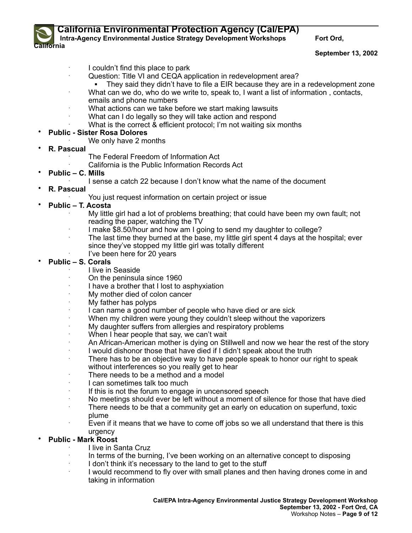

**Intra-Agency Environmental Justice Strategy Development Workshops Fort Ord,** 

#### **September 13, 2002**

- I couldn't find this place to park
	- Question: Title VI and CEQA application in redevelopment area?
	- They said they didn't have to file a EIR because they are in a redevelopment zone
- What can we do, who do we write to, speak to, I want a list of information, contacts,
- emails and phone numbers
- What actions can we take before we start making lawsuits
- What can I do legally so they will take action and respond
- What is the correct & efficient protocol; I'm not waiting six months
- **Public Sister Rosa Dolores**
	- We only have 2 months
- **R. Pascual**
	- The Federal Freedom of Information Act
	- California is the Public Information Records Act
- **Public C. Mills** 
	- · I sense a catch 22 because I don't know what the name of the document
- **R. Pascual**
	- · You just request information on certain project or issue
- **Public T. Acosta**
	- · My little girl had a lot of problems breathing; that could have been my own fault; not reading the paper, watching the TV
	- I make \$8.50/hour and how am I going to send my daughter to college?
	- The last time they burned at the base, my little girl spent 4 days at the hospital; ever since they've stopped my little girl was totally different
	- I've been here for 20 years

# • **Public – S. Corals**

- · I live in Seaside
- On the peninsula since 1960
- · I have a brother that I lost to asphyxiation
- My mother died of colon cancer
- · My father has polyps
- I can name a good number of people who have died or are sick
- When my children were young they couldn't sleep without the vaporizers
- My daughter suffers from allergies and respiratory problems
- When I hear people that say, we can't wait
- · An African-American mother is dying on Stillwell and now we hear the rest of the story
- I would dishonor those that have died if I didn't speak about the truth
- There has to be an objective way to have people speak to honor our right to speak without interferences so you really get to hear
- There needs to be a method and a model
- I can sometimes talk too much
- If this is not the forum to engage in uncensored speech
- · No meetings should ever be left without a moment of silence for those that have died
- There needs to be that a community get an early on education on superfund, toxic plume
- Even if it means that we have to come off jobs so we all understand that there is this urgency

# • **Public - Mark Roost**

- · I live in Santa Cruz
- · In terms of the burning, I've been working on an alternative concept to disposing
- · I don't think it's necessary to the land to get to the stuff
- I would recommend to fly over with small planes and then having drones come in and taking in information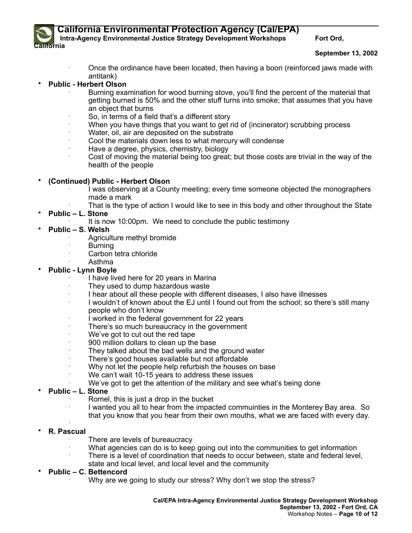**Intra-Agency Environmental Justice Strategy Development Workshops Fort Ord, California**

#### **September 13, 2002**

- · Once the ordinance have been located, then having a boon (reinforced jaws made with antitank)
- **Public Herbert Olson**
	- · Burning examination for wood burning stove, you'll find the percent of the material that getting burned is 50% and the other stuff turns into smoke; that assumes that you have an object that burns
	- So, in terms of a field that's a different story
	- When you have things that you want to get rid of (incinerator) scrubbing process
	- Water, oil, air are deposited on the substrate
	- Cool the materials down less to what mercury will condense
	- Have a degree, physics, chemistry, biology
	- Cost of moving the material being too great; but those costs are trivial in the way of the health of the people
- **(Continued) Public Herbert Olson**
	- · I was observing at a County meeting; every time someone objected the monographers made a mark
	- That is the type of action I would like to see in this body and other throughout the State
- **Public L. Stone** 
	- It is now 10:00pm. We need to conclude the public testimony
- **Public S. Welsh**
	- Agriculture methyl bromide
	- **Burning**
	- Carbon tetra chloride
	- · Asthma
- **Public Lynn Boyle**
	- I have lived here for 20 years in Marina
	- · They used to dump hazardous waste
	- · I hear about all these people with different diseases, I also have illnesses
	- · I wouldn't of known about the EJ until I found out from the school; so there's still many people who don't know
	- I worked in the federal government for 22 years
	- There's so much bureaucracy in the government
	- We've got to cut out the red tape
	- · 900 million dollars to clean up the base
	- They talked about the bad wells and the ground water
	- · There's good houses available but not affordable
	- Why not let the people help refurbish the houses on base
	- We can't wait 10-15 years to address these issues
	- We've got to get the attention of the military and see what's being done
- **Public L. Stone**
	- Romel, this is just a drop in the bucket
	- I wanted you all to hear from the impacted commuinties in the Monterey Bay area. So that you know that you hear from their own mouths, what we are faced with every day.
- · • **R. Pascual**
	- There are levels of bureaucracy
	- What agencies can do is to keep going out into the communities to get information
	- There is a level of coordination that needs to occur between, state and federal level,
	- state and local level, and local level and the community
- **Public C. Bettencord**
	- Why are we going to study our stress? Why don't we stop the stress?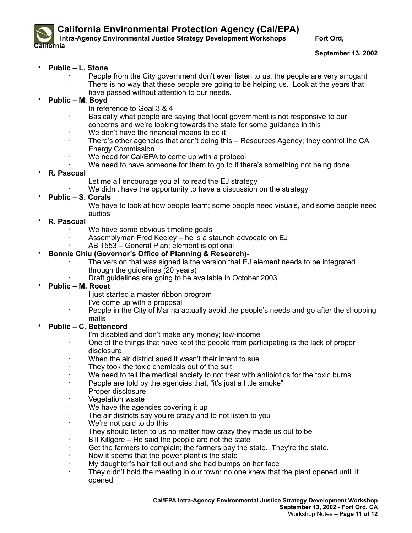

**Intra-Agency Environmental Justice Strategy Development Workshops Fort Ord,** 

#### **September 13, 2002**

### • **Public – L. Stone**

- People from the City government don't even listen to us; the people are very arrogant There is no way that these people are going to be helping us. Look at the years that
	- have passed without attention to our needs.
- **Public M. Boyd**
	- · In reference to Goal 3 & 4
	- Basically what people are saying that local government is not responsive to our concerns and we're looking towards the state for some guidance in this
	- We don't have the financial means to do it
	- There's other agencies that aren't doing this Resources Agency; they control the CA Energy Commission
		- We need for Cal/EPA to come up with a protocol
		- We need to have someone for them to go to if there's something not being done
- **R. Pascual**
	- Let me all encourage you all to read the EJ strategy
		- We didn't have the opportunity to have a discussion on the strategy
- **Public S. Corals**
	- We have to look at how people learn; some people need visuals, and some people need audios

#### • **R. Pascual**

- We have some obvious timeline goals
- Assemblyman Fred Keeley he is a staunch advocate on EJ
- · AB 1553 General Plan; element is optional

### • **Bonnie Chiu (Governor's Office of Planning & Research)-**

- The version that was signed is the version that EJ element needs to be integrated through the guidelines (20 years)
- · Draft guidelines are going to be available in October 2003
- **Public M. Roost**
	- · I just started a master ribbon program
	- I've come up with a proposal
		- · People in the City of Marina actually avoid the people's needs and go after the shopping malls

### • **Public – C. Bettencord**

- I'm disabled and don't make any money; low-income
- · One of the things that have kept the people from participating is the lack of proper disclosure
- When the air district sued it wasn't their intent to sue
- They took the toxic chemicals out of the suit
- We need to tell the medical society to not treat with antibiotics for the toxic burns
- People are told by the agencies that, "it's just a little smoke"
- Proper disclosure
- **Vegetation waste**
- We have the agencies covering it up
- The air districts say you're crazy and to not listen to you
- We're not paid to do this
- They should listen to us no matter how crazy they made us out to be
- Bill Killgore He said the people are not the state
- Get the farmers to complain; the farmers pay the state. They're the state.
- Now it seems that the power plant is the state
- My daughter's hair fell out and she had bumps on her face
- They didn't hold the meeting in our town; no one knew that the plant opened until it opened